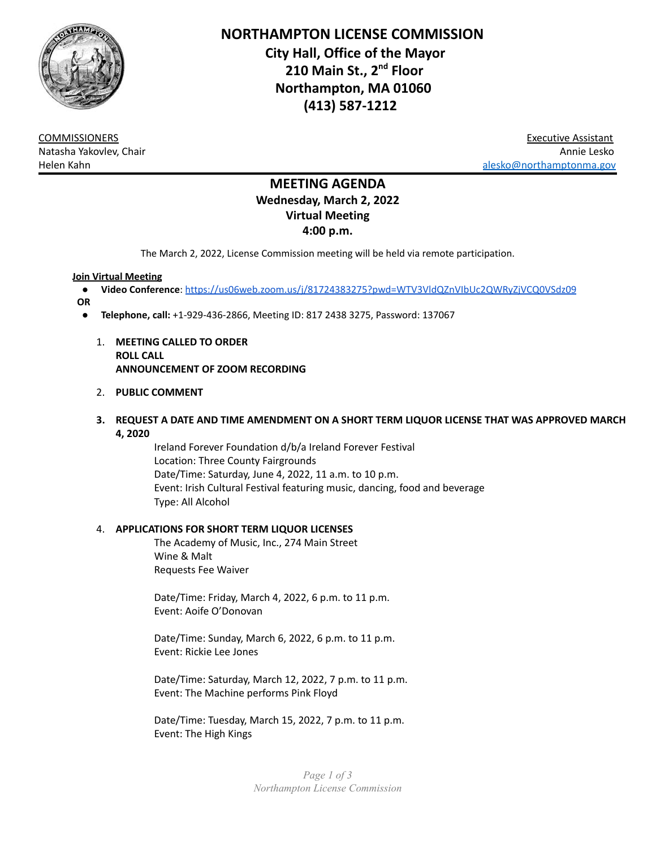

**NORTHAMPTON LICENSE COMMISSION City Hall, Office of the Mayor 210 Main St., 2 nd Floor Northampton, MA 01060 (413) 587-1212**

COMMISSIONERS Executive Assistant Natasha Yakovlev, Chair Annie Lesko Helen Kahn [alesko@northamptonma.gov](mailto:alesko@northamptonma.gov)

# **MEETING AGENDA Wednesday, March 2, 2022 Virtual Meeting 4:00 p.m.**

The March 2, 2022, License Commission meeting will be held via remote participation.

#### **Join Virtual Meeting**

- **Video Conference**: <https://us06web.zoom.us/j/81724383275?pwd=WTV3VldQZnVIbUc2QWRyZjVCQ0VSdz09>
- **OR**
	- **Telephone, call:** +1-929-436-2866, Meeting ID: 817 2438 3275, Password: 137067
		- 1. **MEETING CALLED TO ORDER ROLL CALL ANNOUNCEMENT OF ZOOM RECORDING**

#### 2. **PUBLIC COMMENT**

**3. REQUEST A DATE AND TIME AMENDMENT ON A SHORT TERM LIQUOR LICENSE THAT WAS APPROVED MARCH 4, 2020**

> Ireland Forever Foundation d/b/a Ireland Forever Festival Location: Three County Fairgrounds Date/Time: Saturday, June 4, 2022, 11 a.m. to 10 p.m. Event: Irish Cultural Festival featuring music, dancing, food and beverage Type: All Alcohol

#### 4. **APPLICATIONS FOR SHORT TERM LIQUOR LICENSES**

The Academy of Music, Inc., 274 Main Street Wine & Malt Requests Fee Waiver

Date/Time: Friday, March 4, 2022, 6 p.m. to 11 p.m. Event: Aoife O'Donovan

Date/Time: Sunday, March 6, 2022, 6 p.m. to 11 p.m. Event: Rickie Lee Jones

Date/Time: Saturday, March 12, 2022, 7 p.m. to 11 p.m. Event: The Machine performs Pink Floyd

Date/Time: Tuesday, March 15, 2022, 7 p.m. to 11 p.m. Event: The High Kings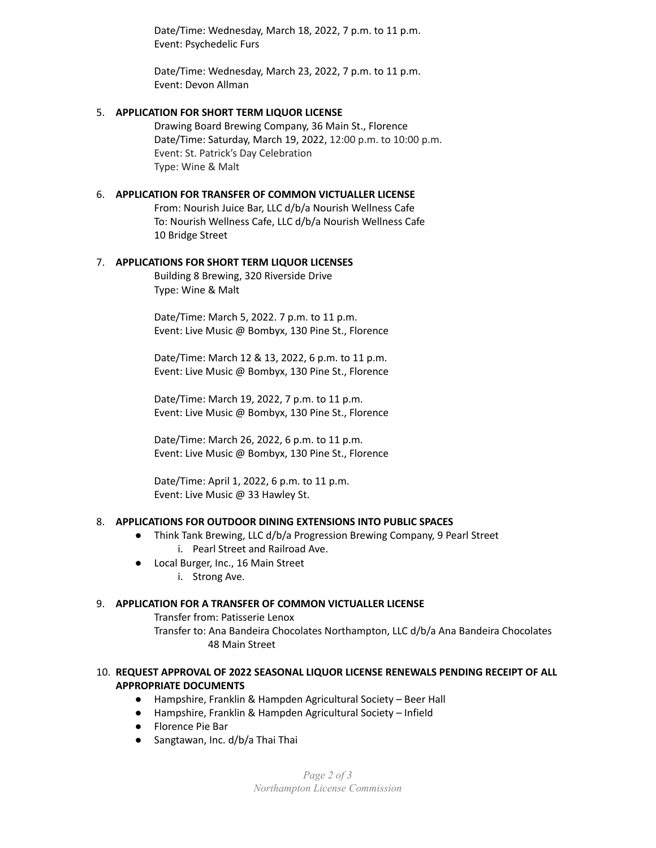Date/Time: Wednesday, March 18, 2022, 7 p.m. to 11 p.m. Event: Psychedelic Furs

Date/Time: Wednesday, March 23, 2022, 7 p.m. to 11 p.m. Event: Devon Allman

# 5. **APPLICATION FOR SHORT TERM LIQUOR LICENSE**

Drawing Board Brewing Company, 36 Main St., Florence Date/Time: Saturday, March 19, 2022, 12:00 p.m. to 10:00 p.m. Event: St. Patrick's Day Celebration Type: Wine & Malt

# 6. **APPLICATION FOR TRANSFER OF COMMON VICTUALLER LICENSE**

From: Nourish Juice Bar, LLC d/b/a Nourish Wellness Cafe To: Nourish Wellness Cafe, LLC d/b/a Nourish Wellness Cafe 10 Bridge Street

# 7. **APPLICATIONS FOR SHORT TERM LIQUOR LICENSES**

Building 8 Brewing, 320 Riverside Drive Type: Wine & Malt

Date/Time: March 5, 2022. 7 p.m. to 11 p.m. Event: Live Music @ Bombyx, 130 Pine St., Florence

Date/Time: March 12 & 13, 2022, 6 p.m. to 11 p.m. Event: Live Music @ Bombyx, 130 Pine St., Florence

Date/Time: March 19, 2022, 7 p.m. to 11 p.m. Event: Live Music @ Bombyx, 130 Pine St., Florence

Date/Time: March 26, 2022, 6 p.m. to 11 p.m. Event: Live Music @ Bombyx, 130 Pine St., Florence

Date/Time: April 1, 2022, 6 p.m. to 11 p.m. Event: Live Music @ 33 Hawley St.

# 8. **APPLICATIONS FOR OUTDOOR DINING EXTENSIONS INTO PUBLIC SPACES**

- Think Tank Brewing, LLC d/b/a Progression Brewing Company, 9 Pearl Street i. Pearl Street and Railroad Ave.
- Local Burger, Inc., 16 Main Street i. Strong Ave.

# 9. **APPLICATION FOR A TRANSFER OF COMMON VICTUALLER LICENSE**

Transfer from: Patisserie Lenox Transfer to: Ana Bandeira Chocolates Northampton, LLC d/b/a Ana Bandeira Chocolates 48 Main Street

#### 10. **REQUEST APPROVAL OF 2022 SEASONAL LIQUOR LICENSE RENEWALS PENDING RECEIPT OF ALL APPROPRIATE DOCUMENTS**

- Hampshire, Franklin & Hampden Agricultural Society Beer Hall
- Hampshire, Franklin & Hampden Agricultural Society Infield
- Florence Pie Bar
- Sangtawan, Inc. d/b/a Thai Thai